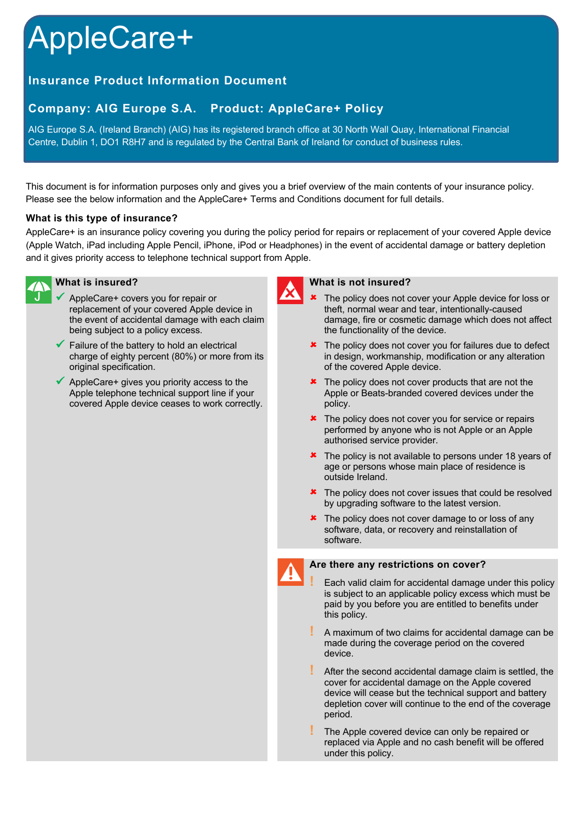# AppleCare+

# **Insurance Product Information Document**

# **Company: AIG Europe S.A. Product: AppleCare+ Policy**

AIG Europe S.A. (Ireland Branch) (AIG) has its registered branch office at 30 North Wall Quay, International Financial Centre, Dublin 1, DO1 R8H7 and is regulated by the Central Bank of Ireland for conduct of business rules.

This document is for information purposes only and gives you a brief overview of the main contents of your insurance policy. Please see the below information and the AppleCare+ Terms and Conditions document for full details.

### **What is this type of insurance?**

AppleCare+ is an insurance policy covering you during the policy period for repairs or replacement of your covered Apple device (Apple Watch, iPad including Apple Pencil, iPhone, iPod or Headphones) in the event of accidental damage or battery depletion and it gives priority access to telephone technical support from Apple.



## **What is insured?**

- AppleCare+ covers you for repair or replacement of your covered Apple device in the event of accidental damage with each claim being subject to a policy excess.
- $\checkmark$  Failure of the battery to hold an electrical charge of eighty percent (80%) or more from its original specification.
- $\checkmark$  AppleCare+ gives you priority access to the Apple telephone technical support line if your covered Apple device ceases to work correctly.



#### **What is not insured?**

- The policy does not cover your Apple device for loss or theft, normal wear and tear, intentionally-caused damage, fire or cosmetic damage which does not affect the functionality of the device.
- **\*** The policy does not cover you for failures due to defect in design, workmanship, modification or any alteration of the covered Apple device.
- $\star$  The policy does not cover products that are not the Apple or Beats-branded covered devices under the policy.
- $\star$  The policy does not cover you for service or repairs performed by anyone who is not Apple or an Apple authorised service provider.
- $\star$  The policy is not available to persons under 18 years of age or persons whose main place of residence is outside Ireland.
- $\star$  The policy does not cover issues that could be resolved by upgrading software to the latest version.
- $\star$  The policy does not cover damage to or loss of any software, data, or recovery and reinstallation of software.



#### **Are there any restrictions on cover?**

**!** Each valid claim for accidental damage under this policy is subject to an applicable policy excess which must be paid by you before you are entitled to benefits under this policy.

- **!** A maximum of two claims for accidental damage can be made during the coverage period on the covered device.
- **!** After the second accidental damage claim is settled, the cover for accidental damage on the Apple covered device will cease but the technical support and battery depletion cover will continue to the end of the coverage period.
- **!** The Apple covered device can only be repaired or replaced via Apple and no cash benefit will be offered under this policy.